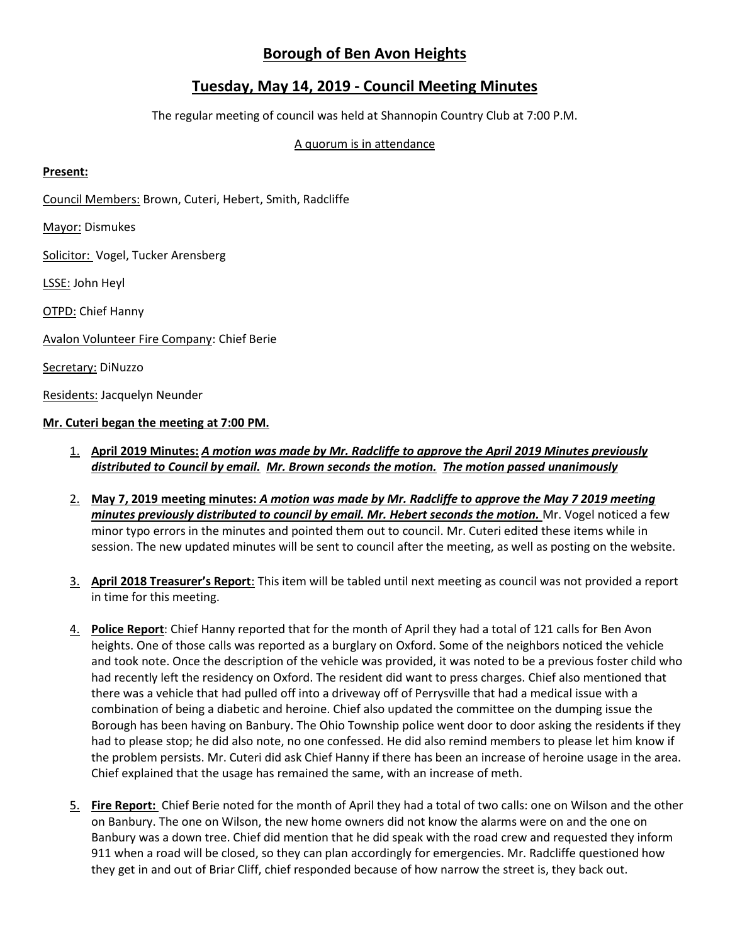# **Borough of Ben Avon Heights**

## **Tuesday, May 14, 2019 - Council Meeting Minutes**

The regular meeting of council was held at Shannopin Country Club at 7:00 P.M.

### A quorum is in attendance

### **Present:**

Council Members: Brown, Cuteri, Hebert, Smith, Radcliffe

Mayor: Dismukes

Solicitor: Vogel, Tucker Arensberg

LSSE: John Heyl

OTPD: Chief Hanny

Avalon Volunteer Fire Company: Chief Berie

Secretary: DiNuzzo

Residents: Jacquelyn Neunder

### **Mr. Cuteri began the meeting at 7:00 PM.**

- 1. **April 2019 Minutes:** *A motion was made by Mr. Radcliffe to approve the April 2019 Minutes previously distributed to Council by email. Mr. Brown seconds the motion. The motion passed unanimously*
- 2. **May 7, 2019 meeting minutes:** *A motion was made by Mr. Radcliffe to approve the May 7 2019 meeting minutes previously distributed to council by email. Mr. Hebert seconds the motion.* Mr. Vogel noticed a few minor typo errors in the minutes and pointed them out to council. Mr. Cuteri edited these items while in session. The new updated minutes will be sent to council after the meeting, as well as posting on the website.
- 3. **April 2018 Treasurer's Report**: This item will be tabled until next meeting as council was not provided a report in time for this meeting.
- 4. **Police Report**: Chief Hanny reported that for the month of April they had a total of 121 calls for Ben Avon heights. One of those calls was reported as a burglary on Oxford. Some of the neighbors noticed the vehicle and took note. Once the description of the vehicle was provided, it was noted to be a previous foster child who had recently left the residency on Oxford. The resident did want to press charges. Chief also mentioned that there was a vehicle that had pulled off into a driveway off of Perrysville that had a medical issue with a combination of being a diabetic and heroine. Chief also updated the committee on the dumping issue the Borough has been having on Banbury. The Ohio Township police went door to door asking the residents if they had to please stop; he did also note, no one confessed. He did also remind members to please let him know if the problem persists. Mr. Cuteri did ask Chief Hanny if there has been an increase of heroine usage in the area. Chief explained that the usage has remained the same, with an increase of meth.
- 5. **Fire Report:** Chief Berie noted for the month of April they had a total of two calls: one on Wilson and the other on Banbury. The one on Wilson, the new home owners did not know the alarms were on and the one on Banbury was a down tree. Chief did mention that he did speak with the road crew and requested they inform 911 when a road will be closed, so they can plan accordingly for emergencies. Mr. Radcliffe questioned how they get in and out of Briar Cliff, chief responded because of how narrow the street is, they back out.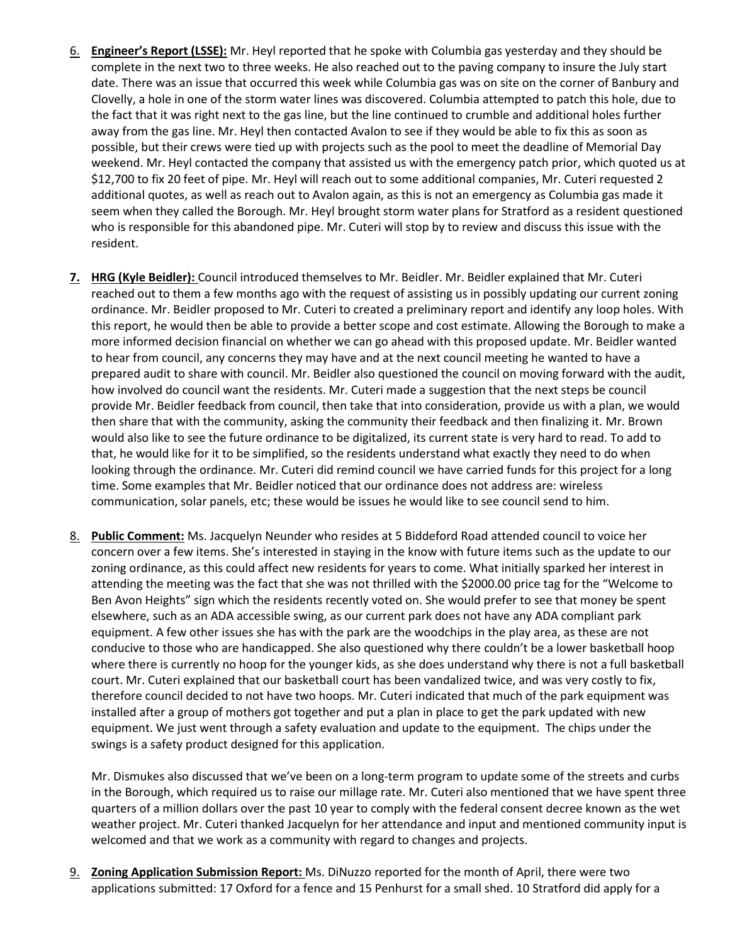- 6. **Engineer's Report (LSSE):** Mr. Heyl reported that he spoke with Columbia gas yesterday and they should be complete in the next two to three weeks. He also reached out to the paving company to insure the July start date. There was an issue that occurred this week while Columbia gas was on site on the corner of Banbury and Clovelly, a hole in one of the storm water lines was discovered. Columbia attempted to patch this hole, due to the fact that it was right next to the gas line, but the line continued to crumble and additional holes further away from the gas line. Mr. Heyl then contacted Avalon to see if they would be able to fix this as soon as possible, but their crews were tied up with projects such as the pool to meet the deadline of Memorial Day weekend. Mr. Heyl contacted the company that assisted us with the emergency patch prior, which quoted us at \$12,700 to fix 20 feet of pipe. Mr. Heyl will reach out to some additional companies, Mr. Cuteri requested 2 additional quotes, as well as reach out to Avalon again, as this is not an emergency as Columbia gas made it seem when they called the Borough. Mr. Heyl brought storm water plans for Stratford as a resident questioned who is responsible for this abandoned pipe. Mr. Cuteri will stop by to review and discuss this issue with the resident.
- **7. HRG (Kyle Beidler):** Council introduced themselves to Mr. Beidler. Mr. Beidler explained that Mr. Cuteri reached out to them a few months ago with the request of assisting us in possibly updating our current zoning ordinance. Mr. Beidler proposed to Mr. Cuteri to created a preliminary report and identify any loop holes. With this report, he would then be able to provide a better scope and cost estimate. Allowing the Borough to make a more informed decision financial on whether we can go ahead with this proposed update. Mr. Beidler wanted to hear from council, any concerns they may have and at the next council meeting he wanted to have a prepared audit to share with council. Mr. Beidler also questioned the council on moving forward with the audit, how involved do council want the residents. Mr. Cuteri made a suggestion that the next steps be council provide Mr. Beidler feedback from council, then take that into consideration, provide us with a plan, we would then share that with the community, asking the community their feedback and then finalizing it. Mr. Brown would also like to see the future ordinance to be digitalized, its current state is very hard to read. To add to that, he would like for it to be simplified, so the residents understand what exactly they need to do when looking through the ordinance. Mr. Cuteri did remind council we have carried funds for this project for a long time. Some examples that Mr. Beidler noticed that our ordinance does not address are: wireless communication, solar panels, etc; these would be issues he would like to see council send to him.
- 8. **Public Comment:** Ms. Jacquelyn Neunder who resides at 5 Biddeford Road attended council to voice her concern over a few items. She's interested in staying in the know with future items such as the update to our zoning ordinance, as this could affect new residents for years to come. What initially sparked her interest in attending the meeting was the fact that she was not thrilled with the \$2000.00 price tag for the "Welcome to Ben Avon Heights" sign which the residents recently voted on. She would prefer to see that money be spent elsewhere, such as an ADA accessible swing, as our current park does not have any ADA compliant park equipment. A few other issues she has with the park are the woodchips in the play area, as these are not conducive to those who are handicapped. She also questioned why there couldn't be a lower basketball hoop where there is currently no hoop for the younger kids, as she does understand why there is not a full basketball court. Mr. Cuteri explained that our basketball court has been vandalized twice, and was very costly to fix, therefore council decided to not have two hoops. Mr. Cuteri indicated that much of the park equipment was installed after a group of mothers got together and put a plan in place to get the park updated with new equipment. We just went through a safety evaluation and update to the equipment. The chips under the swings is a safety product designed for this application.

Mr. Dismukes also discussed that we've been on a long-term program to update some of the streets and curbs in the Borough, which required us to raise our millage rate. Mr. Cuteri also mentioned that we have spent three quarters of a million dollars over the past 10 year to comply with the federal consent decree known as the wet weather project. Mr. Cuteri thanked Jacquelyn for her attendance and input and mentioned community input is welcomed and that we work as a community with regard to changes and projects.

9. **Zoning Application Submission Report:** Ms. DiNuzzo reported for the month of April, there were two applications submitted: 17 Oxford for a fence and 15 Penhurst for a small shed. 10 Stratford did apply for a